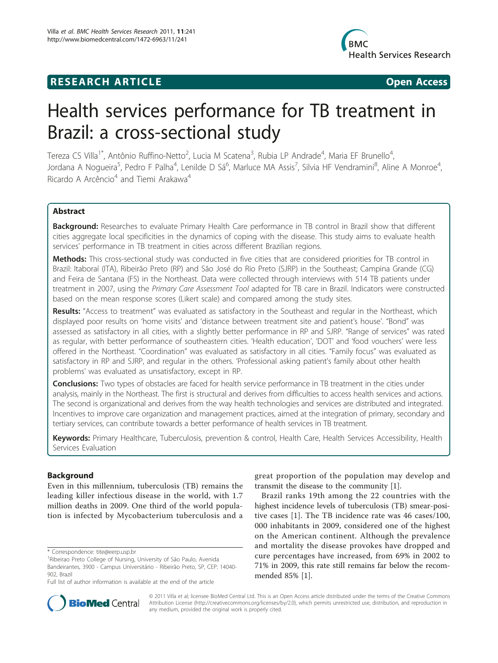## **RESEARCH ARTICLE Example 2018 CONSIDERING ACCESS**



# Health services performance for TB treatment in Brazil: a cross-sectional study

Tereza CS Villa<sup>1\*</sup>, Antônio Ruffino-Netto<sup>2</sup>, Lucia M Scatena<sup>3</sup>, Rubia LP Andrade<sup>4</sup>, Maria EF Brunello<sup>4</sup> , Jordana A Nogueira<sup>5</sup>, Pedro F Palha<sup>4</sup>, Lenilde D Sá<sup>6</sup>, Marluce MA Assis<sup>7</sup>, Silvia HF Vendramini<sup>8</sup>, Aline A Monroe<sup>4</sup> , Ricardo A Arcêncio<sup>4</sup> and Tiemi Arakawa<sup>4</sup>

### Abstract

Background: Researches to evaluate Primary Health Care performance in TB control in Brazil show that different cities aggregate local specificities in the dynamics of coping with the disease. This study aims to evaluate health services' performance in TB treatment in cities across different Brazilian regions.

Methods: This cross-sectional study was conducted in five cities that are considered priorities for TB control in Brazil: Itaboraí (ITA), Ribeirão Preto (RP) and São José do Rio Preto (SJRP) in the Southeast; Campina Grande (CG) and Feira de Santana (FS) in the Northeast. Data were collected through interviews with 514 TB patients under treatment in 2007, using the Primary Care Assessment Tool adapted for TB care in Brazil. Indicators were constructed based on the mean response scores (Likert scale) and compared among the study sites.

Results: "Access to treatment" was evaluated as satisfactory in the Southeast and regular in the Northeast, which displayed poor results on 'home visits' and 'distance between treatment site and patient's house'. "Bond" was assessed as satisfactory in all cities, with a slightly better performance in RP and SJRP. "Range of services" was rated as regular, with better performance of southeastern cities. 'Health education', 'DOT' and 'food vouchers' were less offered in the Northeast. "Coordination" was evaluated as satisfactory in all cities. "Family focus" was evaluated as satisfactory in RP and SJRP, and regular in the others. 'Professional asking patient's family about other health problems' was evaluated as unsatisfactory, except in RP.

**Conclusions:** Two types of obstacles are faced for health service performance in TB treatment in the cities under analysis, mainly in the Northeast. The first is structural and derives from difficulties to access health services and actions. The second is organizational and derives from the way health technologies and services are distributed and integrated. Incentives to improve care organization and management practices, aimed at the integration of primary, secondary and tertiary services, can contribute towards a better performance of health services in TB treatment.

Keywords: Primary Healthcare, Tuberculosis, prevention & control, Health Care, Health Services Accessibility, Health Services Evaluation

#### Background

Even in this millennium, tuberculosis (TB) remains the leading killer infectious disease in the world, with 1.7 million deaths in 2009. One third of the world population is infected by Mycobacterium tuberculosis and a great proportion of the population may develop and transmit the disease to the community [\[1](#page-6-0)].

Brazil ranks 19th among the 22 countries with the highest incidence levels of tuberculosis (TB) smear-positive cases [\[1](#page-6-0)]. The TB incidence rate was 46 cases/100, 000 inhabitants in 2009, considered one of the highest on the American continent. Although the prevalence and mortality the disease provokes have dropped and cure percentages have increased, from 69% in 2002 to 71% in 2009, this rate still remains far below the recommended 85% [[1\]](#page-6-0).



© 2011 Villa et al; licensee BioMed Central Ltd. This is an Open Access article distributed under the terms of the Creative Commons Attribution License [\(http://creativecommons.org/licenses/by/2.0](http://creativecommons.org/licenses/by/2.0)), which permits unrestricted use, distribution, and reproduction in any medium, provided the original work is properly cited.

<sup>\*</sup> Correspondence: [tite@eerp.usp.br](mailto:tite@eerp.usp.br)

<sup>&</sup>lt;sup>1</sup> Ribeirao Preto College of Nursing, University of São Paulo, Avenida Bandeirantes, 3900 - Campus Universitário - Ribeirão Preto, SP, CEP: 14040- 902, Brazil

Full list of author information is available at the end of the article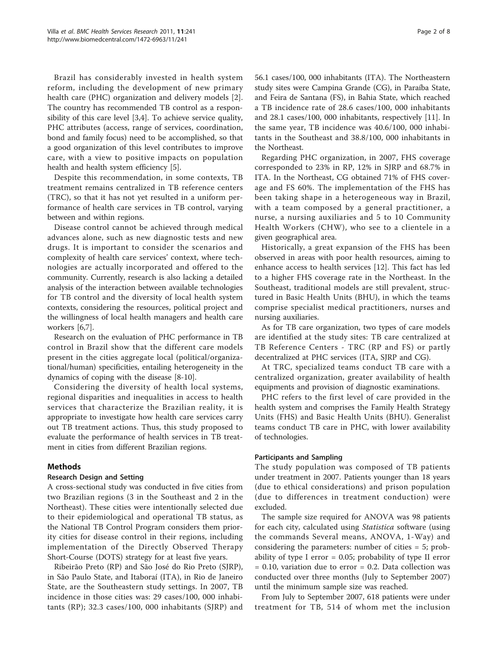Brazil has considerably invested in health system reform, including the development of new primary health care (PHC) organization and delivery models [\[2](#page-6-0)]. The country has recommended TB control as a responsibility of this care level [\[3,4](#page-6-0)]. To achieve service quality, PHC attributes (access, range of services, coordination, bond and family focus) need to be accomplished, so that a good organization of this level contributes to improve care, with a view to positive impacts on population health and health system efficiency [[5\]](#page-6-0).

Despite this recommendation, in some contexts, TB treatment remains centralized in TB reference centers (TRC), so that it has not yet resulted in a uniform performance of health care services in TB control, varying between and within regions.

Disease control cannot be achieved through medical advances alone, such as new diagnostic tests and new drugs. It is important to consider the scenarios and complexity of health care services' context, where technologies are actually incorporated and offered to the community. Currently, research is also lacking a detailed analysis of the interaction between available technologies for TB control and the diversity of local health system contexts, considering the resources, political project and the willingness of local health managers and health care workers [\[6,7](#page-7-0)].

Research on the evaluation of PHC performance in TB control in Brazil show that the different care models present in the cities aggregate local (political/organizational/human) specificities, entailing heterogeneity in the dynamics of coping with the disease [[8-10\]](#page-7-0).

Considering the diversity of health local systems, regional disparities and inequalities in access to health services that characterize the Brazilian reality, it is appropriate to investigate how health care services carry out TB treatment actions. Thus, this study proposed to evaluate the performance of health services in TB treatment in cities from different Brazilian regions.

#### Methods

#### Research Design and Setting

A cross-sectional study was conducted in five cities from two Brazilian regions (3 in the Southeast and 2 in the Northeast). These cities were intentionally selected due to their epidemiological and operational TB status, as the National TB Control Program considers them priority cities for disease control in their regions, including implementation of the Directly Observed Therapy Short-Course (DOTS) strategy for at least five years.

Ribeirão Preto (RP) and São José do Rio Preto (SJRP), in São Paulo State, and Itaboraí (ITA), in Rio de Janeiro State, are the Southeastern study settings. In 2007, TB incidence in those cities was: 29 cases/100, 000 inhabitants (RP); 32.3 cases/100, 000 inhabitants (SJRP) and 56.1 cases/100, 000 inhabitants (ITA). The Northeastern study sites were Campina Grande (CG), in Paraíba State, and Feira de Santana (FS), in Bahia State, which reached a TB incidence rate of 28.6 cases/100, 000 inhabitants and 28.1 cases/100, 000 inhabitants, respectively [\[11](#page-7-0)]. In the same year, TB incidence was 40.6/100, 000 inhabitants in the Southeast and 38.8/100, 000 inhabitants in the Northeast.

Regarding PHC organization, in 2007, FHS coverage corresponded to 23% in RP, 12% in SJRP and 68.7% in ITA. In the Northeast, CG obtained 71% of FHS coverage and FS 60%. The implementation of the FHS has been taking shape in a heterogeneous way in Brazil, with a team composed by a general practitioner, a nurse, a nursing auxiliaries and 5 to 10 Community Health Workers (CHW), who see to a clientele in a given geographical area.

Historically, a great expansion of the FHS has been observed in areas with poor health resources, aiming to enhance access to health services [\[12](#page-7-0)]. This fact has led to a higher FHS coverage rate in the Northeast. In the Southeast, traditional models are still prevalent, structured in Basic Health Units (BHU), in which the teams comprise specialist medical practitioners, nurses and nursing auxiliaries.

As for TB care organization, two types of care models are identified at the study sites: TB care centralized at TB Reference Centers - TRC (RP and FS) or partly decentralized at PHC services (ITA, SJRP and CG).

At TRC, specialized teams conduct TB care with a centralized organization, greater availability of health equipments and provision of diagnostic examinations.

PHC refers to the first level of care provided in the health system and comprises the Family Health Strategy Units (FHS) and Basic Health Units (BHU). Generalist teams conduct TB care in PHC, with lower availability of technologies.

#### Participants and Sampling

The study population was composed of TB patients under treatment in 2007. Patients younger than 18 years (due to ethical considerations) and prison population (due to differences in treatment conduction) were excluded.

The sample size required for ANOVA was 98 patients for each city, calculated using *Statistica* software (using the commands Several means, ANOVA, 1-Way) and considering the parameters: number of cities = 5; probability of type I error  $= 0.05$ ; probability of type II error  $= 0.10$ , variation due to error  $= 0.2$ . Data collection was conducted over three months (July to September 2007) until the minimum sample size was reached.

From July to September 2007, 618 patients were under treatment for TB, 514 of whom met the inclusion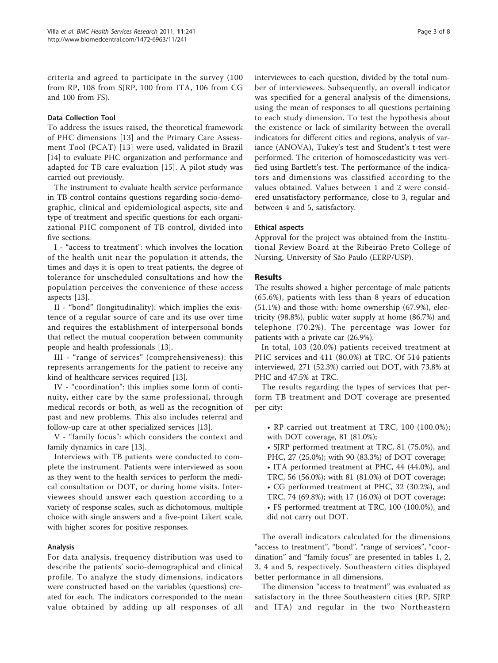criteria and agreed to participate in the survey (100 from RP, 108 from SJRP, 100 from ITA, 106 from CG and 100 from FS).

#### Data Collection Tool

To address the issues raised, the theoretical framework of PHC dimensions [[13\]](#page-7-0) and the Primary Care Assessment Tool (PCAT) [[13](#page-7-0)] were used, validated in Brazil [[14\]](#page-7-0) to evaluate PHC organization and performance and adapted for TB care evaluation [\[15](#page-7-0)]. A pilot study was carried out previously.

The instrument to evaluate health service performance in TB control contains questions regarding socio-demographic, clinical and epidemiological aspects, site and type of treatment and specific questions for each organizational PHC component of TB control, divided into five sections:

I - "access to treatment": which involves the location of the health unit near the population it attends, the times and days it is open to treat patients, the degree of tolerance for unscheduled consultations and how the population perceives the convenience of these access aspects [\[13\]](#page-7-0).

II - "bond" (longitudinality): which implies the existence of a regular source of care and its use over time and requires the establishment of interpersonal bonds that reflect the mutual cooperation between community people and health professionals [[13\]](#page-7-0).

III - "range of services" (comprehensiveness): this represents arrangements for the patient to receive any kind of healthcare services required [\[13](#page-7-0)].

IV - "coordination": this implies some form of continuity, either care by the same professional, through medical records or both, as well as the recognition of past and new problems. This also includes referral and follow-up care at other specialized services [\[13\]](#page-7-0).

V - "family focus": which considers the context and family dynamics in care [\[13](#page-7-0)].

Interviews with TB patients were conducted to complete the instrument. Patients were interviewed as soon as they went to the health services to perform the medical consultation or DOT, or during home visits. Interviewees should answer each question according to a variety of response scales, such as dichotomous, multiple choice with single answers and a five-point Likert scale, with higher scores for positive responses.

#### Analysis

For data analysis, frequency distribution was used to describe the patients' socio-demographical and clinical profile. To analyze the study dimensions, indicators were constructed based on the variables (questions) created for each. The indicators corresponded to the mean value obtained by adding up all responses of all interviewees to each question, divided by the total number of interviewees. Subsequently, an overall indicator was specified for a general analysis of the dimensions, using the mean of responses to all questions pertaining to each study dimension. To test the hypothesis about the existence or lack of similarity between the overall indicators for different cities and regions, analysis of variance (ANOVA), Tukey's test and Student's t-test were performed. The criterion of homoscedasticity was verified using Bartlett's test. The performance of the indicators and dimensions was classified according to the values obtained. Values between 1 and 2 were considered unsatisfactory performance, close to 3, regular and between 4 and 5, satisfactory.

#### Ethical aspects

Approval for the project was obtained from the Institutional Review Board at the Ribeirão Preto College of Nursing, University of São Paulo (EERP/USP).

#### Results

The results showed a higher percentage of male patients (65.6%), patients with less than 8 years of education (51.1%) and those with: home ownership (67.9%), electricity (98.8%), public water supply at home (86.7%) and telephone (70.2%). The percentage was lower for patients with a private car (26.9%).

In total, 103 (20.0%) patients received treatment at PHC services and 411 (80.0%) at TRC. Of 514 patients interviewed, 271 (52.3%) carried out DOT, with 73.8% at PHC and 47.5% at TRC.

The results regarding the types of services that perform TB treatment and DOT coverage are presented per city:

• RP carried out treatment at TRC, 100 (100.0%); with DOT coverage, 81 (81.0%);

• SJRP performed treatment at TRC, 81 (75.0%), and PHC, 27 (25.0%); with 90 (83.3%) of DOT coverage; • ITA performed treatment at PHC, 44 (44.0%), and TRC, 56 (56.0%); with 81 (81.0%) of DOT coverage; • CG performed treatment at PHC, 32 (30.2%), and TRC, 74 (69.8%); with 17 (16.0%) of DOT coverage; • FS performed treatment at TRC, 100 (100.0%), and did not carry out DOT.

The overall indicators calculated for the dimensions "access to treatment", "bond", "range of services", "coordination" and "family focus" are presented in tables [1](#page-3-0), [2](#page-3-0), [3, 4](#page-4-0) and [5](#page-5-0), respectively. Southeastern cities displayed better performance in all dimensions.

The dimension "access to treatment" was evaluated as satisfactory in the three Southeastern cities (RP, SJRP and ITA) and regular in the two Northeastern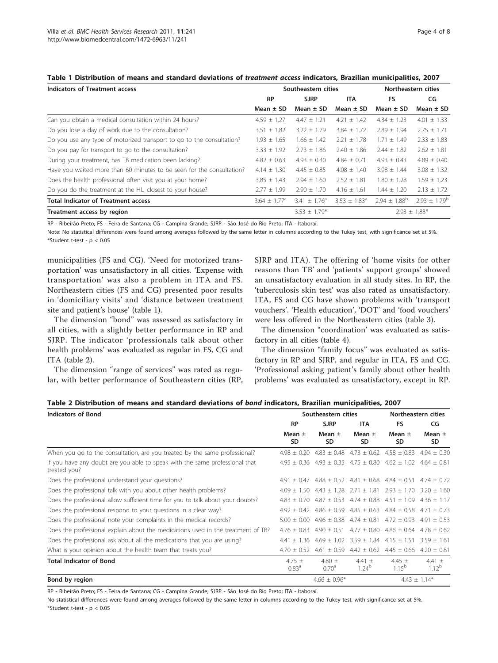<span id="page-3-0"></span>

|  |  |  |  |  |  |  |  | Table 1 Distribution of means and standard deviations of treatment access indicators, Brazilian municipalities, 2007 |
|--|--|--|--|--|--|--|--|----------------------------------------------------------------------------------------------------------------------|
|--|--|--|--|--|--|--|--|----------------------------------------------------------------------------------------------------------------------|

| <b>Indicators of Treatment access</b>                                 |                              | Southeastern cities | Northeastern cities        |                   |                         |
|-----------------------------------------------------------------------|------------------------------|---------------------|----------------------------|-------------------|-------------------------|
|                                                                       | <b>RP</b>                    | <b>SJRP</b>         | <b>ITA</b>                 | FS                | CG.                     |
|                                                                       | Mean $\pm$ SD                | Mean $\pm$ SD       | Mean $\pm$ SD              | Mean $\pm$ SD     | Mean $\pm$ SD           |
| Can you obtain a medical consultation within 24 hours?                | $4.59 + 1.27$                | $4.47 \pm 1.21$     | 4.21<br>$±$ 1.42           | $4.34 + 1.23$     | $4.01 \pm 1.33$         |
| Do you lose a day of work due to the consultation?                    | $3.51 \pm 1.82$              | $3.22 \pm 1.79$     | $3.84 \pm 1.72$            | $2.89 \pm 1.94$   | $2.75 \pm 1.71$         |
| Do you use any type of motorized transport to go to the consultation? | $1.93 \pm 1.65$              | $1.66 + 1.42$       | $2.21 + 1.78$              | $1.71 + 1.49$     | $2.33 \pm 1.83$         |
| Do you pay for transport to go to the consultation?                   | $3.33 \pm 1.92$              | $2.73 \pm 1.86$     | $2.40 \pm 1.86$            | $2.44 \pm 1.82$   | $2.62 \pm 1.81$         |
| During your treatment, has TB medication been lacking?                | $4.82 \pm 0.63$              | $4.93 \pm 0.30$     | $4.84 \pm 0.71$            | $4.93 \pm 0.43$   | $4.89 \pm 0.40$         |
| Have you waited more than 60 minutes to be seen for the consultation? | $4.14 \pm 1.30$              | $4.45 + 0.85$       | $4.08 \pm 1.40$            | $3.98 \pm 1.44$   | $3.08 \pm 1.32$         |
| Does the health professional often visit you at your home?            | $3.85 \pm 1.43$              | $2.94 \pm 1.60$     | $2.52 \pm 1.81$            | $1.80 \pm 1.28$   | $1.59 \pm 1.23$         |
| Do you do the treatment at the HU closest to your house?              | $2.77 \pm 1.99$              | $2.90 \pm 1.70$     | $4.16 \pm 1.61$            | $1.44 \pm 1.20$   | $2.13 \pm 1.72$         |
| <b>Total Indicator of Treatment access</b>                            | $3.64 \pm 1.77$ <sup>a</sup> | $3.41 + 1.76^a$     | $3.53 + 1.83$ <sup>a</sup> | $2.94 + 1.88^{b}$ | $2.93 \pm 1.79^{\rm b}$ |
| Treatment access by region                                            |                              | $3.53 \pm 1.79*$    |                            |                   | $2.93 \pm 1.83*$        |

RP - Ribeirão Preto; FS - Feira de Santana; CG - Campina Grande; SJRP - São José do Rio Preto; ITA - Itaboraí.

Note: No statistical differences were found among averages followed by the same letter in columns according to the Tukey test, with significance set at 5%. \*Student t-test -  $p < 0.05$ 

municipalities (FS and CG). 'Need for motorized transportation' was unsatisfactory in all cities. 'Expense with transportation' was also a problem in ITA and FS. Northeastern cities (FS and CG) presented poor results in 'domiciliary visits' and 'distance between treatment site and patient's house' (table 1).

The dimension "bond" was assessed as satisfactory in all cities, with a slightly better performance in RP and SJRP. The indicator 'professionals talk about other health problems' was evaluated as regular in FS, CG and ITA (table 2).

The dimension "range of services" was rated as regular, with better performance of Southeastern cities (RP,

SJRP and ITA). The offering of 'home visits for other reasons than TB' and 'patients' support groups' showed an unsatisfactory evaluation in all study sites. In RP, the 'tuberculosis skin test' was also rated as unsatisfactory. ITA, FS and CG have shown problems with 'transport vouchers'. 'Health education', 'DOT' and 'food vouchers' were less offered in the Northeastern cities (table [3\)](#page-4-0).

The dimension "coordination' was evaluated as satisfactory in all cities (table [4\)](#page-4-0).

The dimension "family focus" was evaluated as satisfactory in RP and SJRP, and regular in ITA, FS and CG. 'Professional asking patient's family about other health problems' was evaluated as unsatisfactory, except in RP.

| Table 2 Distribution of means and standard deviations of bond indicators, Brazilian municipalities, 2007 |  |
|----------------------------------------------------------------------------------------------------------|--|
|----------------------------------------------------------------------------------------------------------|--|

| <b>Indicators of Bond</b>                                                                   |                                 | Southeastern cities             | Northeastern cities                                                             |                          |                          |
|---------------------------------------------------------------------------------------------|---------------------------------|---------------------------------|---------------------------------------------------------------------------------|--------------------------|--------------------------|
|                                                                                             | <b>RP</b>                       | <b>SJRP</b>                     | <b>ITA</b>                                                                      | <b>FS</b>                | CG                       |
|                                                                                             | Mean $\pm$<br>SD.               | Mean $\pm$<br>SD.               | Mean $\pm$<br>SD                                                                | Mean $\pm$<br>SD         | Mean $\pm$<br>SD         |
| When you go to the consultation, are you treated by the same professional?                  |                                 |                                 | $4.98 \pm 0.20$ $4.83 \pm 0.48$ $4.73 \pm 0.62$ $4.58 \pm 0.83$ $4.94 \pm 0.30$ |                          |                          |
| If you have any doubt are you able to speak with the same professional that<br>treated you? |                                 |                                 | $4.95 \pm 0.36$ $4.93 \pm 0.35$ $4.75 \pm 0.80$ $4.62 \pm 1.02$                 |                          | $4.64 + 0.81$            |
| Does the professional understand your questions?                                            |                                 |                                 | $4.91 \pm 0.47$ $4.88 \pm 0.52$ $4.81 \pm 0.68$ $4.84 \pm 0.51$ $4.74 \pm 0.72$ |                          |                          |
| Does the professional talk with you about other health problems?                            |                                 |                                 | $4.09 \pm 1.50$ $4.43 \pm 1.28$ $2.71 \pm 1.81$ $2.93 \pm 1.70$ $3.20 \pm 1.60$ |                          |                          |
| Does the professional allow sufficient time for you to talk about your doubts?              |                                 |                                 | $4.83 \pm 0.70$ $4.87 \pm 0.53$ $4.74 \pm 0.88$ $4.51 \pm 1.09$ $4.36 \pm 1.17$ |                          |                          |
| Does the professional respond to your questions in a clear way?                             |                                 |                                 | $4.92 \pm 0.42$ 4.86 $\pm$ 0.59 4.85 $\pm$ 0.63 4.84 $\pm$ 0.58 4.71 $\pm$ 0.73 |                          |                          |
| Does the professional note your complaints in the medical records?                          |                                 |                                 | $5.00 \pm 0.00$ 4.96 $\pm$ 0.38 4.74 $\pm$ 0.81 4.72 $\pm$ 0.93                 |                          | $4.91 \pm 0.53$          |
| Does the professional explain about the medications used in the treatment of TB?            |                                 | $4.76 \pm 0.83$ $4.90 \pm 0.51$ | $4.77 \pm 0.80$ $4.86 \pm 0.64$ $4.78 \pm 0.62$                                 |                          |                          |
| Does the professional ask about all the medications that you are using?                     |                                 |                                 | $4.41 \pm 1.36$ $4.69 \pm 1.02$ $3.59 \pm 1.84$ $4.15 \pm 1.51$                 |                          | $3.59 + 1.61$            |
| What is your opinion about the health team that treats you?                                 |                                 |                                 | $4.70 \pm 0.52$ 4.61 $\pm$ 0.59 4.42 $\pm$ 0.62 4.45 $\pm$ 0.66 4.20 $\pm$ 0.81 |                          |                          |
| <b>Total Indicator of Bond</b>                                                              | 4.75 $\pm$<br>0.83 <sup>a</sup> | 4.80 $\pm$<br>$0.70^{\circ}$    | 4.41 $\pm$<br>$1.24^{b}$                                                        | 4.45 $\pm$<br>$1.15^{b}$ | 4.41 $\pm$<br>$1.12^{b}$ |
| Bond by region                                                                              |                                 | $4.66 \pm 0.96*$                |                                                                                 |                          | $4.43 \pm 1.14*$         |

RP - Ribeirão Preto; FS - Feira de Santana; CG - Campina Grande; SJRP - São José do Rio Preto; ITA - Itaboraí.

No statistical differences were found among averages followed by the same letter in columns according to the Tukey test, with significance set at 5%. \*Student t-test - p < 0.05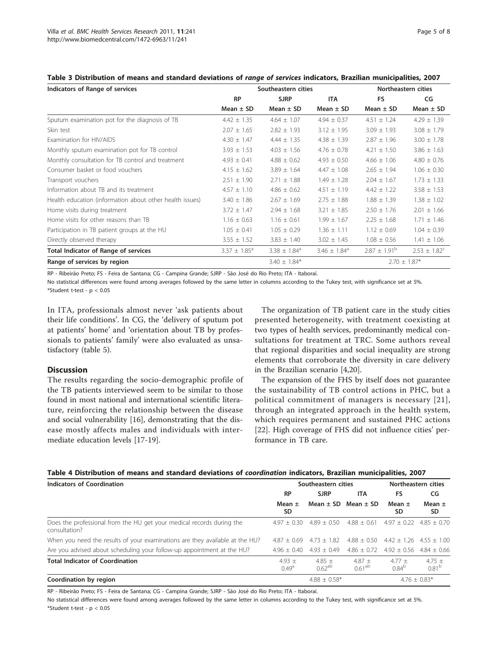| Indicators of Range of services                          |                              | Southeastern cities     | Northeastern cities          |                         |                         |  |
|----------------------------------------------------------|------------------------------|-------------------------|------------------------------|-------------------------|-------------------------|--|
|                                                          | <b>RP</b>                    | <b>SJRP</b>             | <b>ITA</b>                   | <b>FS</b>               | CG                      |  |
|                                                          | Mean $\pm$ SD                | Mean $\pm$ SD           | Mean $\pm$ SD                | Mean $\pm$ SD           | Mean $\pm$ SD           |  |
| Sputum examination pot for the diagnosis of TB           | $4.42 \pm 1.35$              | $4.64 \pm 1.07$         | $4.94 \pm 0.37$              | $4.51 \pm 1.24$         | $4.29 \pm 1.39$         |  |
| Skin test                                                | $2.07 \pm 1.65$              | $2.82 \pm 1.93$         | $3.12 \pm 1.95$              | $3.09 \pm 1.93$         | $3.08 \pm 1.79$         |  |
| Examination for HIV/AIDS                                 | $4.30 \pm 1.47$              | $4.44 \pm 1.35$         | $4.38 \pm 1.39$              | $2.87 \pm 1.96$         | $3.00 \pm 1.78$         |  |
| Monthly sputum examination pot for TB control            | $3.93 \pm 1.53$              | $4.03 \pm 1.56$         | $4.76 \pm 0.78$              | $4.21 \pm 1.50$         | $3.86 \pm 1.63$         |  |
| Monthly consultation for TB control and treatment        | $4.93 \pm 0.41$              | $4.88 \pm 0.62$         | $4.93 \pm 0.50$              | $4.66 \pm 1.06$         | $4.80 \pm 0.76$         |  |
| Consumer basket or food vouchers                         | $4.15 \pm 1.62$              | $3.89 \pm 1.64$         | $4.47 \pm 1.08$              | $2.65 \pm 1.94$         | $1.06 \pm 0.30$         |  |
| Transport vouchers                                       | $2.51 \pm 1.90$              | $2.71 \pm 1.88$         | $1.49 \pm 1.28$              | $2.04 \pm 1.67$         | $1.73 \pm 1.33$         |  |
| Information about TB and its treatment                   | $4.57 \pm 1.10$              | $4.86 \pm 0.62$         | $4.51 \pm 1.19$              | $4.42 \pm 1.22$         | $3.58 \pm 1.53$         |  |
| Health education (information about other health issues) | $3.40 \pm 1.86$              | $2.67 \pm 1.69$         | $2.75 \pm 1.88$              | $1.88 \pm 1.39$         | $1.38 \pm 1.02$         |  |
| Home visits during treatment                             | $3.72 \pm 1.47$              | $2.94 \pm 1.68$         | $3.21 \pm 1.85$              | $2.50 \pm 1.76$         | $2.01 \pm 1.66$         |  |
| Home visits for other reasons than TB                    | $1.16 \pm 0.63$              | $1.16 \pm 0.61$         | $1.99 \pm 1.67$              | $2.25 \pm 1.68$         | $1.71 \pm 1.46$         |  |
| Participation in TB patient groups at the HU             | $1.05 \pm 0.41$              | $1.05 \pm 0.29$         | $1.36 \pm 1.11$              | $1.12 \pm 0.69$         | $1.04 \pm 0.39$         |  |
| Directly observed therapy                                | $3.55 \pm 1.52$              | $3.83 \pm 1.40$         | $3.02 \pm 1.45$              | $1.08 \pm 0.56$         | $1.41 \pm 1.06$         |  |
| Total Indicator of Range of services                     | $3.37 \pm 1.85$ <sup>a</sup> | $3.38 \pm 1.84^{\circ}$ | $3.46 \pm 1.84$ <sup>a</sup> | $2.87 \pm 1.91^{\circ}$ | $2.53 \pm 1.82^{\circ}$ |  |
| Range of services by region                              | $3.40 \pm 1.84*$             |                         |                              | $2.70 \pm 1.87*$        |                         |  |

#### <span id="page-4-0"></span>Table 3 Distribution of means and standard deviations of range of services indicators, Brazilian municipalities, 2007

RP - Ribeirão Preto; FS - Feira de Santana; CG - Campina Grande; SJRP - São José do Rio Preto; ITA - Itaboraí.

No statistical differences were found among averages followed by the same letter in columns according to the Tukey test, with significance set at 5%. \*Student t-test -  $p < 0.05$ 

In ITA, professionals almost never 'ask patients about their life conditions'. In CG, the 'delivery of sputum pot at patients' home' and 'orientation about TB by professionals to patients' family' were also evaluated as unsatisfactory (table [5](#page-5-0)).

#### **Discussion**

The results regarding the socio-demographic profile of the TB patients interviewed seem to be similar to those found in most national and international scientific literature, reinforcing the relationship between the disease and social vulnerability [[16](#page-7-0)], demonstrating that the disease mostly affects males and individuals with intermediate education levels [[17](#page-7-0)-[19\]](#page-7-0).

The organization of TB patient care in the study cities presented heterogeneity, with treatment coexisting at two types of health services, predominantly medical consultations for treatment at TRC. Some authors reveal that regional disparities and social inequality are strong elements that corroborate the diversity in care delivery in the Brazilian scenario [[4,](#page-6-0)[20](#page-7-0)].

The expansion of the FHS by itself does not guarantee the sustainability of TB control actions in PHC, but a political commitment of managers is necessary [[21\]](#page-7-0), through an integrated approach in the health system, which requires permanent and sustained PHC actions [[22\]](#page-7-0). High coverage of FHS did not influence cities' performance in TB care.

#### Table 4 Distribution of means and standard deviations of coordination indicators, Brazilian municipalities, 2007

| Indicators of Coordination                                                             |                               | Southeastern cities     | Northeastern cities             |                        |                          |
|----------------------------------------------------------------------------------------|-------------------------------|-------------------------|---------------------------------|------------------------|--------------------------|
|                                                                                        | <b>RP</b>                     | <b>SJRP</b>             | <b>ITA</b>                      | FS.                    | CG                       |
|                                                                                        | Mean $\pm$<br>SD              |                         | Mean $\pm$ SD Mean $\pm$ SD     | Mean $\pm$<br>SD.      | Mean $\pm$<br>SD         |
| Does the professional from the HU get your medical records during the<br>consultation? | $4.97 + 0.30$                 | $4.89 + 0.50$           | $4.88 + 0.61$                   | $4.97 + 0.22$          | $4.85 + 0.70$            |
| When you need the results of your examinations are they available at the HU?           | $487 + 069$                   | $4.73 + 1.82$           | $4.88 + 0.50$                   | $4.42 + 1.26$          | $4.55 + 1.00$            |
| Are you advised about scheduling your follow-up appointment at the HU?                 | $4.96 + 0.40$                 | $4.93 \pm 0.49$         | $4.86 \pm 0.72$ $4.92 \pm 0.56$ |                        | $4.84 + 0.66$            |
| <b>Total Indicator of Coordination</b>                                                 | $4.93 +$<br>0.49 <sup>a</sup> | $4.85 +$<br>$0.62^{ab}$ | $4.87 +$<br>$061^{ab}$          | $4.77 +$<br>$0.84^{D}$ | 4.75 $\pm$<br>$0.81^{b}$ |
| Coordination by region                                                                 |                               | $4.88 + 0.58*$          |                                 |                        | $4.76 + 0.83*$           |

RP - Ribeirão Preto; FS - Feira de Santana; CG - Campina Grande; SJRP - São José do Rio Preto; ITA - Itaboraí.

No statistical differences were found among averages followed by the same letter in columns according to the Tukey test, with significance set at 5%. \*Student t-test - p < 0.05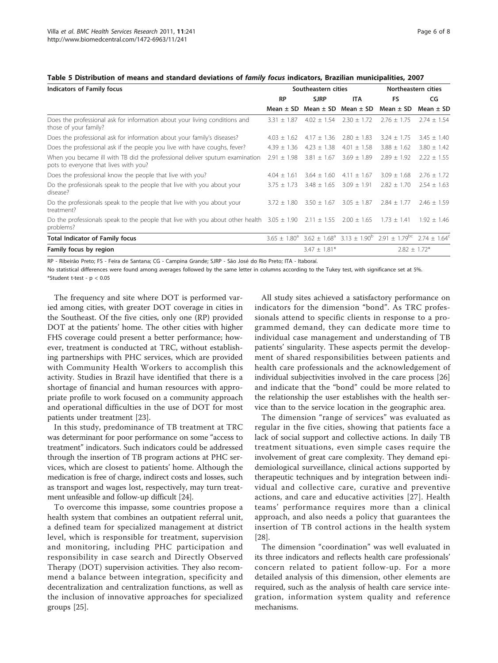| Indicators of Family focus                                                                                           |                   | Southeastern cities | Northeastern cities |                                                                                                 |                 |
|----------------------------------------------------------------------------------------------------------------------|-------------------|---------------------|---------------------|-------------------------------------------------------------------------------------------------|-----------------|
|                                                                                                                      | <b>RP</b>         | <b>SJRP</b>         | <b>ITA</b>          | <b>FS</b>                                                                                       | CG.             |
|                                                                                                                      | Mean $\pm$ SD     | Mean $\pm$ SD       | Mean $\pm$ SD       | Mean $\pm$ SD                                                                                   | Mean $\pm$ SD   |
| Does the professional ask for information about your living conditions and<br>those of your family?                  | $3.31 \pm 1.87$   | $4.02 \pm 1.54$     | $2.30 \pm 1.72$     | $2.76 \pm 1.75$                                                                                 | $2.74 \pm 1.54$ |
| Does the professional ask for information about your family's diseases?                                              | $4.03 \pm 1.62$   | $4.17 \pm 1.36$     | $2.80 \pm 1.83$     | $3.24 \pm 1.75$                                                                                 | $3.45 \pm 1.40$ |
| Does the professional ask if the people you live with have coughs, fever?                                            | $4.39 + 1.36$     | $4.23 \pm 1.38$     | $4.01 \pm 1.58$     | $3.88 \pm 1.62$                                                                                 | $3.80 \pm 1.42$ |
| When you became ill with TB did the professional deliver sputum examination<br>pots to everyone that lives with you? | $2.91 + 1.98$     | $3.81 \pm 1.67$     | $3.69 \pm 1.89$     | $2.89 \pm 1.92$                                                                                 | $2.22 + 1.55$   |
| Does the professional know the people that live with you?                                                            | $4.04 \pm 1.61$   | $3.64 \pm 1.60$     | $4.11 \pm 1.67$     | $3.09 \pm 1.68$                                                                                 | $2.76 \pm 1.72$ |
| Do the professionals speak to the people that live with you about your<br>disease?                                   | $3.75 + 1.73$     | $3.48 \pm 1.65$     | $3.09 \pm 1.91$     | $2.82 \pm 1.70$                                                                                 | $2.54 + 1.63$   |
| Do the professionals speak to the people that live with you about your<br>treatment?                                 | $3.72 \pm 1.80$   | $3.50 \pm 1.67$     | $3.05 \pm 1.87$     | $2.84 \pm 1.77$                                                                                 | $2.46 \pm 1.59$ |
| Do the professionals speak to the people that live with you about other health $3.05 \pm 1.90$<br>problems?          |                   | $2.11 \pm 1.55$     | $2.00 \pm 1.65$     | $1.73 \pm 1.41$                                                                                 | $1.92 \pm 1.46$ |
| <b>Total Indicator of Family focus</b>                                                                               | $3.65 \pm 1.80^a$ |                     |                     | $3.62 \pm 1.68^{\circ}$ $3.13 \pm 1.90^{\circ}$ $2.91 \pm 1.79^{\circ}$ $2.74 \pm 1.64^{\circ}$ |                 |
| Family focus by region                                                                                               |                   | $3.47 \pm 1.81*$    |                     | $2.82 \pm 1.72$ *                                                                               |                 |

#### <span id="page-5-0"></span>Table 5 Distribution of means and standard deviations of family focus indicators, Brazilian municipalities, 2007

RP - Ribeirão Preto; FS - Feira de Santana; CG - Campina Grande; SJRP - São José do Rio Preto; ITA - Itaboraí.

No statistical differences were found among averages followed by the same letter in columns according to the Tukey test, with significance set at 5%. \*Student t-test - p < 0.05

The frequency and site where DOT is performed varied among cities, with greater DOT coverage in cities in the Southeast. Of the five cities, only one (RP) provided DOT at the patients' home. The other cities with higher FHS coverage could present a better performance; however, treatment is conducted at TRC, without establishing partnerships with PHC services, which are provided with Community Health Workers to accomplish this activity. Studies in Brazil have identified that there is a shortage of financial and human resources with appropriate profile to work focused on a community approach and operational difficulties in the use of DOT for most patients under treatment [\[23\]](#page-7-0).

In this study, predominance of TB treatment at TRC was determinant for poor performance on some "access to treatment" indicators. Such indicators could be addressed through the insertion of TB program actions at PHC services, which are closest to patients' home. Although the medication is free of charge, indirect costs and losses, such as transport and wages lost, respectively, may turn treatment unfeasible and follow-up difficult [[24](#page-7-0)].

To overcome this impasse, some countries propose a health system that combines an outpatient referral unit, a defined team for specialized management at district level, which is responsible for treatment, supervision and monitoring, including PHC participation and responsibility in case search and Directly Observed Therapy (DOT) supervision activities. They also recommend a balance between integration, specificity and decentralization and centralization functions, as well as the inclusion of innovative approaches for specialized groups [[25\]](#page-7-0).

All study sites achieved a satisfactory performance on indicators for the dimension "bond". As TRC professionals attend to specific clients in response to a programmed demand, they can dedicate more time to individual case management and understanding of TB patients' singularity. These aspects permit the development of shared responsibilities between patients and health care professionals and the acknowledgement of individual subjectivities involved in the care process [[26](#page-7-0)] and indicate that the "bond" could be more related to the relationship the user establishes with the health service than to the service location in the geographic area.

The dimension "range of services" was evaluated as regular in the five cities, showing that patients face a lack of social support and collective actions. In daily TB treatment situations, even simple cases require the involvement of great care complexity. They demand epidemiological surveillance, clinical actions supported by therapeutic techniques and by integration between individual and collective care, curative and preventive actions, and care and educative activities [[27\]](#page-7-0). Health teams' performance requires more than a clinical approach, and also needs a policy that guarantees the insertion of TB control actions in the health system [[28\]](#page-7-0).

The dimension "coordination" was well evaluated in its three indicators and reflects health care professionals' concern related to patient follow-up. For a more detailed analysis of this dimension, other elements are required, such as the analysis of health care service integration, information system quality and reference mechanisms.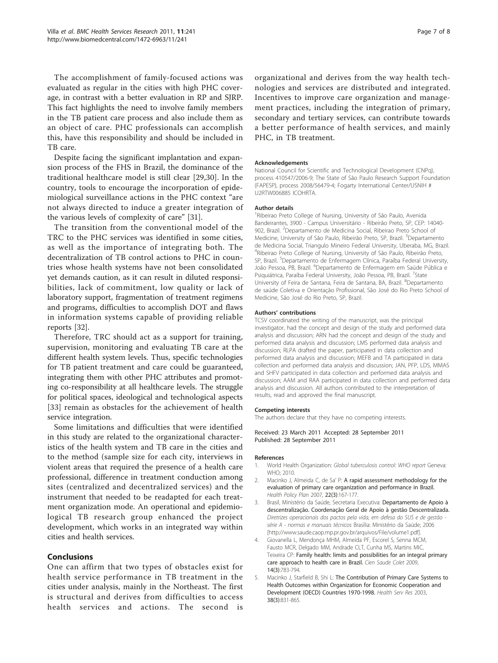<span id="page-6-0"></span>The accomplishment of family-focused actions was evaluated as regular in the cities with high PHC coverage, in contrast with a better evaluation in RP and SJRP. This fact highlights the need to involve family members in the TB patient care process and also include them as an object of care. PHC professionals can accomplish this, have this responsibility and should be included in TB care.

Despite facing the significant implantation and expansion process of the FHS in Brazil, the dominance of the traditional healthcare model is still clear [\[29,30](#page-7-0)]. In the country, tools to encourage the incorporation of epidemiological surveillance actions in the PHC context "are not always directed to induce a greater integration of the various levels of complexity of care" [\[31](#page-7-0)].

The transition from the conventional model of the TRC to the PHC services was identified in some cities, as well as the importance of integrating both. The decentralization of TB control actions to PHC in countries whose health systems have not been consolidated yet demands caution, as it can result in diluted responsibilities, lack of commitment, low quality or lack of laboratory support, fragmentation of treatment regimens and programs, difficulties to accomplish DOT and flaws in information systems capable of providing reliable reports [[32\]](#page-7-0).

Therefore, TRC should act as a support for training, supervision, monitoring and evaluating TB care at the different health system levels. Thus, specific technologies for TB patient treatment and care could be guaranteed, integrating them with other PHC attributes and promoting co-responsibility at all healthcare levels. The struggle for political spaces, ideological and technological aspects [[33](#page-7-0)] remain as obstacles for the achievement of health service integration.

Some limitations and difficulties that were identified in this study are related to the organizational characteristics of the health system and TB care in the cities and to the method (sample size for each city, interviews in violent areas that required the presence of a health care professional, difference in treatment conduction among sites (centralized and decentralized services) and the instrument that needed to be readapted for each treatment organization mode. An operational and epidemiological TB research group enhanced the project development, which works in an integrated way within cities and health services.

#### Conclusions

One can affirm that two types of obstacles exist for health service performance in TB treatment in the cities under analysis, mainly in the Northeast. The first is structural and derives from difficulties to access health services and actions. The second is organizational and derives from the way health technologies and services are distributed and integrated. Incentives to improve care organization and management practices, including the integration of primary, secondary and tertiary services, can contribute towards a better performance of health services, and mainly PHC, in TB treatment.

#### Acknowledgements

National Council for Scientific and Technological Development (CNPq), process 410547/2006-9; The State of São Paulo Research Support Foundation (FAPESP), process 2008/56479-4; Fogarty International Center/USNIH # U2RTW006885 ICOHRTA.

#### Author details

<sup>1</sup> Ribeirao Preto College of Nursing, University of São Paulo, Avenida Bandeirantes, 3900 - Campus Universitário - Ribeirão Preto, SP, CEP: 14040- 902, Brazil. <sup>2</sup>Departamento de Medicina Social, Ribeirao Preto School of Medicine, University of São Paulo, Ribeirão Preto, SP, Brazil. <sup>3</sup>Departamento de Medicina Social, Triangulo Mineiro Federal University, Uberaba, MG, Brazil. 4 Ribeirao Preto College of Nursing, University of São Paulo, Ribeirão Preto, SP, Brazil. <sup>5</sup>Departamento de Enfermagem Clínica, Paraíba Federal University, João Pessoa, PB, Brazil. <sup>6</sup>Departamento de Enfermagem em Saúde Pública e Psiquiátrica, Paraíba Federal University, João Pessoa, PB, Brazil. <sup>7</sup>State University of Feira de Santana, Feira de Santana, BA, Brazil. <sup>8</sup>Departamento de saúde Coletiva e Orientação Profissional, São José do Rio Preto School of Medicine, São José do Rio Preto, SP, Brazil.

#### Authors' contributions

TCSV coordinated the writing of the manuscript, was the principal investigator, had the concept and design of the study and performed data analysis and discussion; ARN had the concept and design of the study and performed data analysis and discussion; LMS performed data analysis and discussion; RLPA drafted the paper, participated in data collection and performed data analysis and discussion; MEFB and TA participated in data collection and performed data analysis and discussion; JAN, PFP, LDS, MMAS and SHFV participated in data collection and performed data analysis and discussion; AAM and RAA participated in data collection and performed data analysis and discussion. All authors contributed to the interpretation of results, read and approved the final manuscript.

#### Competing interests

The authors declare that they have no competing interests.

Received: 23 March 2011 Accepted: 28 September 2011 Published: 28 September 2011

#### References

- 1. World Health Organization: Global tuberculosis control: WHO report Geneva: WHO; 2010.
- 2. Macinko J, Almeida C, de Sa' P: [A rapid assessment methodology for the](http://www.ncbi.nlm.nih.gov/pubmed/17400576?dopt=Abstract) [evaluation of primary care organization and performance in Brazil.](http://www.ncbi.nlm.nih.gov/pubmed/17400576?dopt=Abstract) Health Policy Plan 2007, 22(3):167-177.
- 3. Brasil, Ministério da Saúde, Secretaria Executiva: Departamento de Apoio à descentralização. Coordenação Geral de Apoio à gestão Descentralizada. Diretrizes operacionais dos pactos pela vida, em defesa do SUS e de gestão série A - normas e manuais técnicos Brasília: Ministério da Saúde; 2006 [[http://www.saude.caop.mp.pr.gov.br/arquivos/File/volume1.pdf\]](http://www.saude.caop.mp.pr.gov.br/arquivos/File/volume1.pdf).
- 4. Giovanella L, Mendonça MHM, Almeida PF, Escorel S, Senna MCM, Fausto MCR, Delgado MM, Andrade CLT, Cunha MS, Martins MIC, Teixeira CP: [Family health: limits and possibilities for an integral primary](http://www.ncbi.nlm.nih.gov/pubmed/19547778?dopt=Abstract) [care approach to health care in Brazil.](http://www.ncbi.nlm.nih.gov/pubmed/19547778?dopt=Abstract) Cien Saude Colet 2009, 14(3):783-794.
- 5. Macinko J, Starfield B, Shi L: [The Contribution of Primary Care Systems to](http://www.ncbi.nlm.nih.gov/pubmed/12822915?dopt=Abstract) [Health Outcomes within Organization for Economic Cooperation and](http://www.ncbi.nlm.nih.gov/pubmed/12822915?dopt=Abstract) [Development \(OECD\) Countries 1970-1998.](http://www.ncbi.nlm.nih.gov/pubmed/12822915?dopt=Abstract) Health Serv Res 2003, 38(3):831-865.